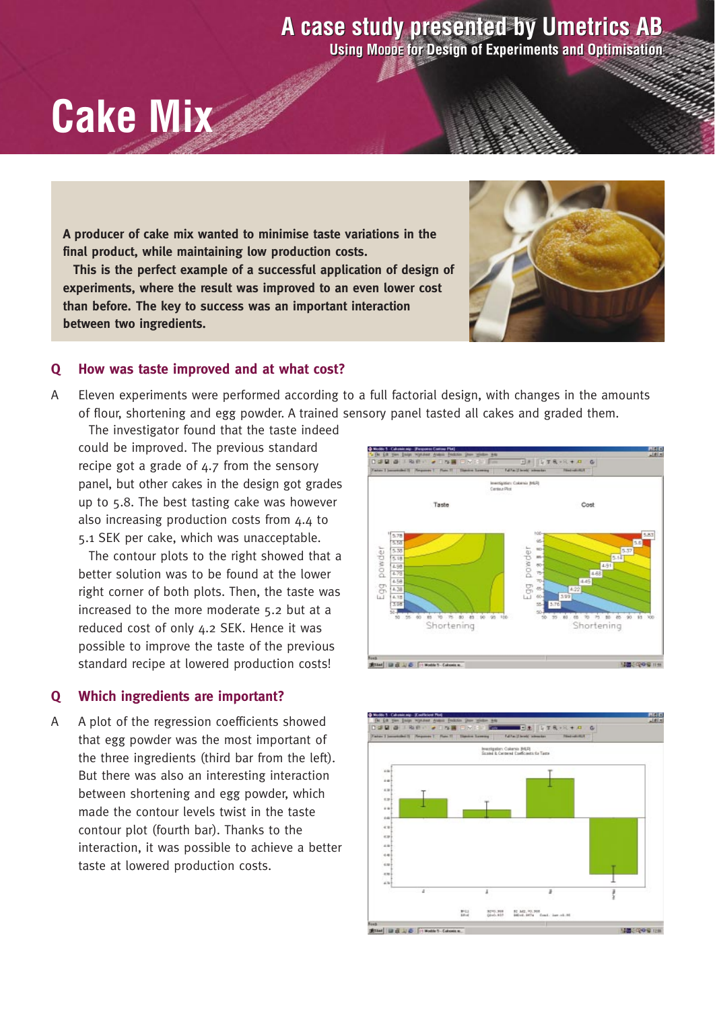## **A case study presented by Umetrics AB A case study presented by Umetrics AB**

**Using MODDE for Design of Experiments and Optimisation Using MODDE for Design of Experiments and Optimisation**

# **Cake Mix**

**A producer of cake mix wanted to minimise taste variations in the final product, while maintaining low production costs.**

**This is the perfect example of a successful application of design of experiments, where the result was improved to an even lower cost than before. The key to success was an important interaction between two ingredients.**

### **Q How was taste improved and at what cost?**

A Eleven experiments were performed according to a full factorial design, with changes in the amounts of flour, shortening and egg powder. A trained sensory panel tasted all cakes and graded them.

The investigator found that the taste indeed could be improved. The previous standard recipe got a grade of 4.7 from the sensory panel, but other cakes in the design got grades up to 5.8. The best tasting cake was however also increasing production costs from 4.4 to 5.1 SEK per cake, which was unacceptable.

The contour plots to the right showed that a better solution was to be found at the lower right corner of both plots. Then, the taste was increased to the more moderate 5.2 but at a reduced cost of only 4.2 SEK. Hence it was possible to improve the taste of the previous standard recipe at lowered production costs!

#### **Q Which ingredients are important?**

A A plot of the regression coefficients showed that egg powder was the most important of the three ingredients (third bar from the left). But there was also an interesting interaction between shortening and egg powder, which made the contour levels twist in the taste contour plot (fourth bar). Thanks to the interaction, it was possible to achieve a better taste at lowered production costs.